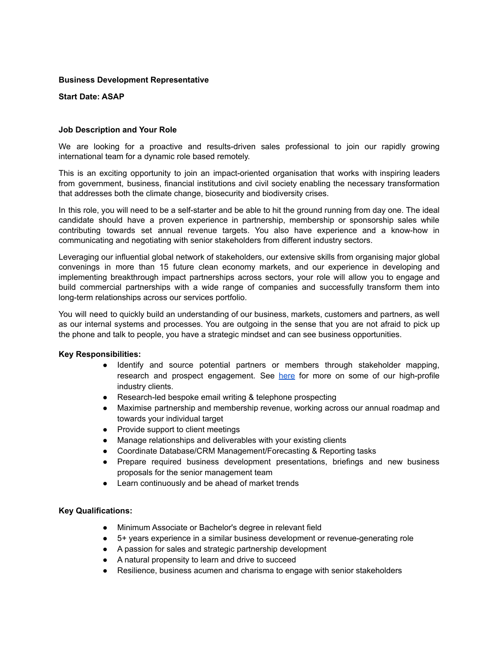### **Business Development Representative**

### **Start Date: ASAP**

# **Job Description and Your Role**

We are looking for a proactive and results-driven sales professional to join our rapidly growing international team for a dynamic role based remotely.

This is an exciting opportunity to join an impact-oriented organisation that works with inspiring leaders from government, business, financial institutions and civil society enabling the necessary transformation that addresses both the climate change, biosecurity and biodiversity crises.

In this role, you will need to be a self-starter and be able to hit the ground running from day one. The ideal candidate should have a proven experience in partnership, membership or sponsorship sales while contributing towards set annual revenue targets. You also have experience and a know-how in communicating and negotiating with senior stakeholders from different industry sectors.

Leveraging our influential global network of stakeholders, our extensive skills from organising major global convenings in more than 15 future clean economy markets, and our experience in developing and implementing breakthrough impact partnerships across sectors, your role will allow you to engage and build commercial partnerships with a wide range of companies and successfully transform them into long-term relationships across our services portfolio.

You will need to quickly build an understanding of our business, markets, customers and partners, as well as our internal systems and processes. You are outgoing in the sense that you are not afraid to pick up the phone and talk to people, you have a strategic mindset and can see business opportunities.

### **Key Responsibilities:**

- Identify and source potential partners or members through stakeholder mapping, research and prospect engagement. See [here](https://www.worldclimatesummit.org/partners) for more on some of our high-profile industry clients.
- Research-led bespoke email writing & telephone prospecting
- Maximise partnership and membership revenue, working across our annual roadmap and towards your individual target
- Provide support to client meetings
- Manage relationships and deliverables with your existing clients
- Coordinate Database/CRM Management/Forecasting & Reporting tasks
- Prepare required business development presentations, briefings and new business proposals for the senior management team
- Learn continuously and be ahead of market trends

### **Key Qualifications:**

- Minimum Associate or Bachelor's degree in relevant field
- 5+ years experience in a similar business development or revenue-generating role
- A passion for sales and strategic partnership development
- A natural propensity to learn and drive to succeed
- Resilience, business acumen and charisma to engage with senior stakeholders